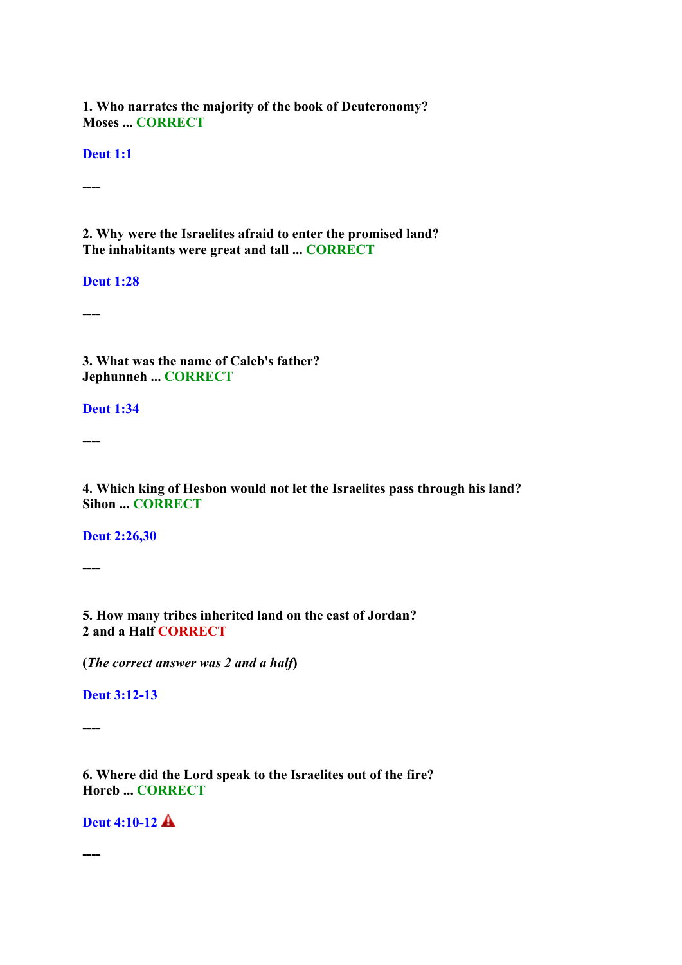**1. Who narrates the majority of the book of Deuteronomy? Moses ... CORRECT**

**Deut 1:1**

**----**

**2. Why were the Israelites afraid to enter the promised land? The inhabitants were great and tall ... CORRECT**

**Deut 1:28**

**----**

**3. What was the name of Caleb's father? Jephunneh ... CORRECT**

**Deut 1:34**

**----**

**4. Which king of Hesbon would not let the Israelites pass through his land? Sihon ... CORRECT**

**Deut 2:26,30**

**----**

**5. How many tribes inherited land on the east of Jordan? 2 and a Half CORRECT**

**(***The correct answer was 2 and a half***)**

**Deut 3:12-13**

**----**

**6. Where did the Lord speak to the Israelites out of the fire? Horeb ... CORRECT**

**Deut 4:10-12**

**----**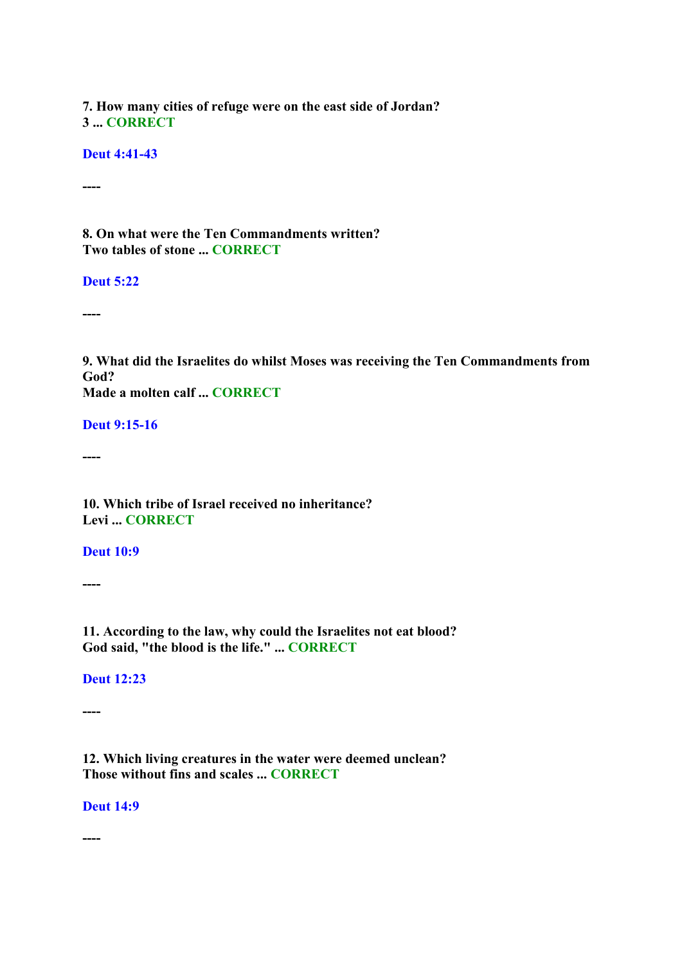**7. How many cities of refuge were on the east side of Jordan? 3 ... CORRECT**

**Deut 4:41-43**

**----**

**8. On what were the Ten Commandments written? Two tables of stone ... CORRECT**

**Deut 5:22**

**----**

**9. What did the Israelites do whilst Moses was receiving the Ten Commandments from God? Made a molten calf ... CORRECT**

**Deut 9:15-16**

**----**

**10. Which tribe of Israel received no inheritance? Levi ... CORRECT**

**Deut 10:9**

**----**

**11. According to the law, why could the Israelites not eat blood? God said, "the blood is the life." ... CORRECT**

**Deut 12:23**

**----**

**12. Which living creatures in the water were deemed unclean? Those without fins and scales ... CORRECT**

**Deut 14:9**

**----**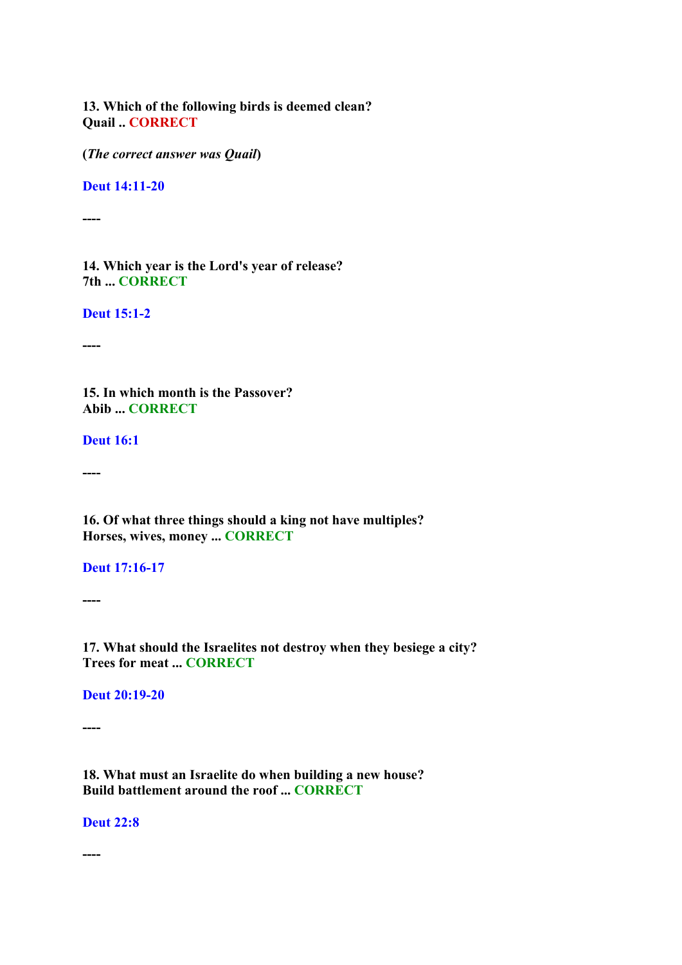**13. Which of the following birds is deemed clean? Quail .. CORRECT**

**(***The correct answer was Quail***)**

**Deut 14:11-20**

**----**

**14. Which year is the Lord's year of release? 7th ... CORRECT**

**Deut 15:1-2**

**----**

**15. In which month is the Passover? Abib ... CORRECT**

**Deut 16:1**

**----**

**16. Of what three things should a king not have multiples? Horses, wives, money ... CORRECT**

**Deut 17:16-17**

**----**

**17. What should the Israelites not destroy when they besiege a city? Trees for meat ... CORRECT**

**Deut 20:19-20**

**----**

**18. What must an Israelite do when building a new house? Build battlement around the roof ... CORRECT**

**Deut 22:8**

**----**